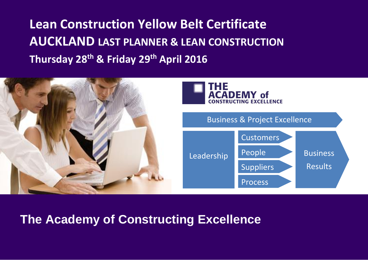**Lean Construction Yellow Belt Certificate AUCKLAND LAST PLANNER & LEAN CONSTRUCTION Thursday 28 th & Friday 29th April 2016**



## **The Academy of Constructing Excellence**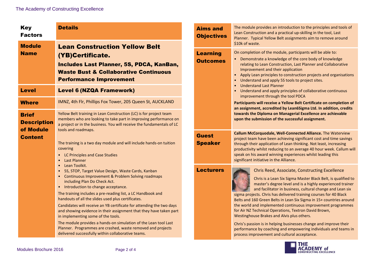| <b>Key</b><br><b>Factors</b><br><b>Module</b><br><b>Name</b>      | <b>Details</b><br><b>Aims and</b><br><b>Lean Construction Yellow Belt</b><br><b>Learning</b><br>(YB)Certificate.<br>Includes Last Planner, 5S, PDCA, KanBan,<br><b>Waste Bust &amp; Collaborative Continuous</b><br><b>Performance Improvement</b>                                                                                                                                                                                                                                                                                                                                                                                                                                                            | <b>Objectives</b>              | The module provides an introduction to the principles and tools of<br>Lean Construction and a practical up-skilling in the tool, Last<br>Planner. Typical Yellow Belt assignments aim to remove around<br>\$10k of waste.                                                                                                                                                                                                                                                                                                                                                                                                                                                                                                                                 |  |
|-------------------------------------------------------------------|---------------------------------------------------------------------------------------------------------------------------------------------------------------------------------------------------------------------------------------------------------------------------------------------------------------------------------------------------------------------------------------------------------------------------------------------------------------------------------------------------------------------------------------------------------------------------------------------------------------------------------------------------------------------------------------------------------------|--------------------------------|-----------------------------------------------------------------------------------------------------------------------------------------------------------------------------------------------------------------------------------------------------------------------------------------------------------------------------------------------------------------------------------------------------------------------------------------------------------------------------------------------------------------------------------------------------------------------------------------------------------------------------------------------------------------------------------------------------------------------------------------------------------|--|
|                                                                   |                                                                                                                                                                                                                                                                                                                                                                                                                                                                                                                                                                                                                                                                                                               | <b>Outcomes</b>                | On completion of the module, participants will be able to:<br>• Demonstrate a knowledge of the core body of knowledge<br>relating to Lean Construction, Last Planner and Collaborative<br>Improvement and their application<br>• Apply Lean principles to construction projects and organisations<br>• Understand and apply 5S tools to project sites.                                                                                                                                                                                                                                                                                                                                                                                                    |  |
| <b>Level</b>                                                      | <b>Level 6 (NZQA Framework)</b>                                                                                                                                                                                                                                                                                                                                                                                                                                                                                                                                                                                                                                                                               |                                | • Understand Last Planner<br>• Understand and apply principles of collaborative continuous<br>improvement through the tool PDCA<br>Participants will receive a Yellow Belt Certificate on completion of<br>an assignment, accredited by Lean6Sigma Ltd. In addition, credits<br>towards the Diploma on Managerial Excellence are achievable<br>upon the submission of the successful assignment.                                                                                                                                                                                                                                                                                                                                                          |  |
| <b>Where</b>                                                      | IMNZ, 4th Flr, Phillips Fox Tower, 205 Queen St, AUCKLAND                                                                                                                                                                                                                                                                                                                                                                                                                                                                                                                                                                                                                                                     |                                |                                                                                                                                                                                                                                                                                                                                                                                                                                                                                                                                                                                                                                                                                                                                                           |  |
| <b>Brief</b><br><b>Description</b><br>of Module<br><b>Content</b> | Yellow Belt training in Lean Construction (LC) is for project team<br>members who are looking to take part in improving performance on<br>a project or in the business. You will receive the fundamentals of LC<br>tools and roadmaps.<br>The training is a two day module and will include hands-on tuition<br>covering<br>• LC Principles and Case Studies<br>• Last Planner<br>• Lean Toolkit.<br>• 5S, STOP, Target Value Design, Waste Cards, Kanban<br>• Continuous Improvement & Problem Solving roadmaps<br>including Plan Do Check Act.<br>• Introduction to change acceptance.<br>The training includes a pre-reading list, a LC Handbook and<br>handouts of all the slides used plus certificates. |                                |                                                                                                                                                                                                                                                                                                                                                                                                                                                                                                                                                                                                                                                                                                                                                           |  |
|                                                                   |                                                                                                                                                                                                                                                                                                                                                                                                                                                                                                                                                                                                                                                                                                               | <b>Guest</b><br><b>Speaker</b> | Callum McCorquodale, Well-Connected Alliance. The Waterview<br>project team have been achieving significant cost and time savings<br>through their application of Lean thinking. Not least, increasing<br>productivity whilst reducing to an average 40 hour week. Callum will<br>speak on his award winning experiences whilst leading this<br>significant initiative in the Alliance.                                                                                                                                                                                                                                                                                                                                                                   |  |
|                                                                   |                                                                                                                                                                                                                                                                                                                                                                                                                                                                                                                                                                                                                                                                                                               | <b>Lecturers</b>               | <b>Chris Reed, Associate, Constructing Excellence</b><br>Chris is a Lean Six Sigma Master Black Belt, is qualified to<br>master's degree level and is a highly experienced trainer<br>and facilitator in business, cultural change and Lean six<br>sigma projects. Chris has delivered training courses for 40 Black<br>Belts and 160 Green Belts in Lean Six Sigma in 15+ countries around<br>the world and implemented continuous improvement programmes<br>for Air NZ Technical Operations, Textron David Brown,<br>Westinghouse Brakes and Alvis plus others.<br>Chris's passion is in helping businesses change and improve their<br>performance by coaching and empowering individuals and teams in<br>process improvement and cultural acceptance. |  |
|                                                                   | Candidates will receive an YB certificate for attending the two days<br>and showing evidence in their assignment that they have taken part<br>in implementing some of the tools.                                                                                                                                                                                                                                                                                                                                                                                                                                                                                                                              |                                |                                                                                                                                                                                                                                                                                                                                                                                                                                                                                                                                                                                                                                                                                                                                                           |  |
|                                                                   | The module provides a hands-on simulation of the Lean tool Last<br>Planner. Programmes are crashed, waste removed and projects<br>delivered successfully within collaborative teams.                                                                                                                                                                                                                                                                                                                                                                                                                                                                                                                          |                                |                                                                                                                                                                                                                                                                                                                                                                                                                                                                                                                                                                                                                                                                                                                                                           |  |

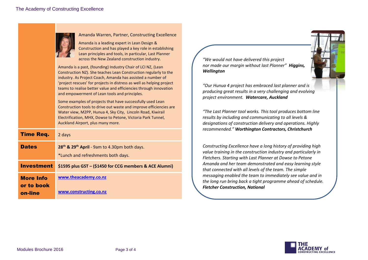|                                           | Amanda Warren, Partner, Constructing Excellence<br>Amanda is a leading expert in Lean Design &<br>Construction and has played a key role in establishing<br>Lean principles and tools, in particular, Last Planner<br>across the New Zealand construction industry.                                                                                                                            | "We                                   |
|-------------------------------------------|------------------------------------------------------------------------------------------------------------------------------------------------------------------------------------------------------------------------------------------------------------------------------------------------------------------------------------------------------------------------------------------------|---------------------------------------|
|                                           | Amanda is a past, (founding) Industry Chair of LCI NZ, (Lean<br>Construction NZ). She teaches Lean Construction regularly to the<br>industry. As Project Coach, Amanda has assisted a number of<br>'project rescues' for projects in distress as well as helping project<br>teams to realise better value and efficiencies through innovation<br>and empowerment of Lean tools and principles. | nor I<br>Well<br>"Our<br>proa<br>proj |
|                                           | Some examples of projects that have successfully used Lean<br>Construction tools to drive out waste and improve efficiencies are<br>Water view, M2PP, Hunua 4, Sky City, Lincoln Road, Kiwirail<br>Electrification, MHX, Dowse to Petone, Victoria Park Tunnel,<br>Auckland Airport, plus many more.                                                                                           | $H$ The<br>resu<br>desi               |
| Time Req.                                 | 2 days                                                                                                                                                                                                                                                                                                                                                                                         | reco                                  |
| <b>Dates</b>                              | 28 <sup>th</sup> & 29 <sup>th</sup> April - 9am to 4.30pm both days.<br>*Lunch and refreshments both days.                                                                                                                                                                                                                                                                                     |                                       |
| <b>Investment</b>                         | \$1595 plus GST - (\$1450 for CCG members & ACE Alumni)                                                                                                                                                                                                                                                                                                                                        |                                       |
| <b>More Info</b><br>or to book<br>on-line | www.theacademy.co.nz<br>www.constructing.co.nz                                                                                                                                                                                                                                                                                                                                                 | mes:<br>the I<br>Fleto                |
|                                           |                                                                                                                                                                                                                                                                                                                                                                                                |                                       |

*"We would not have delivered this project nor made our margin without last Planner" Higgins, Wellington*

*"Our Hunua 4 project has embraced last planner and is producing great results in a very challenging and evolving project environment. Watercare, Auckland*

*"The Last Planner tool works. This tool produces bottom line results by including and communicating to all levels & designations of construction delivery and operations. Highly recommended." Worthington Contractors, Christchurch*

*Constructing Excellence have a long history of providing high value training in the construction industry and particularly in Fletchers. Starting with Last Planner at Dowse to Petone Amanda and her team demonstrated and easy learning style*  that connected with all levels of the team. The simple *messaging enabled the team to immediately see value and in the long run bring back a tight programme ahead of schedule. Fletcher Construction, National*